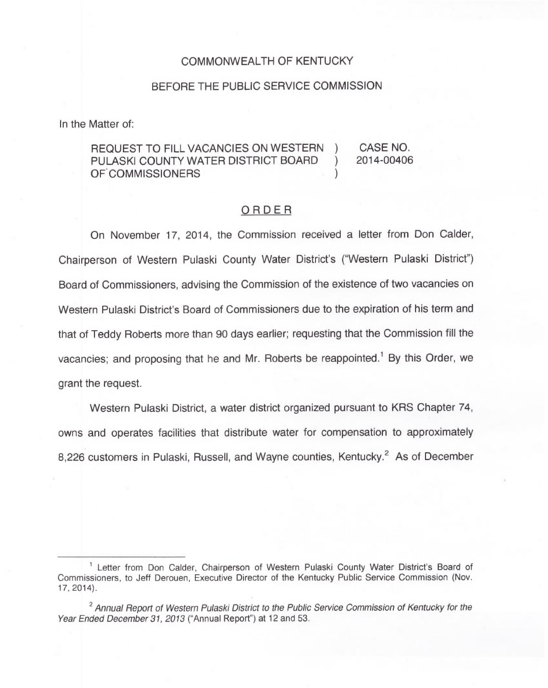## COMMONWEALTH OF KENTUCKY

## BEFORE THE PUBLIC SERVICE COMMISSION

In the Matter of:

## REQUEST TO FILL VACANCIES ON WESTERN ) CASE NO. PULASKI COUNTY WATER DISTRICT BOARD ) 2014-00406 OF COMMISSIONERS

## ORDER

On November 17, 2014, the Commission received a letter from Don Calder, Chairperson of Western Pulaski County Water District's ("Western Pulaski District") Board of Commissioners, advising the Commission of the existence of two vacancies on Western Pulaski District's Board of Commissioners due to the expiration of his term and that of Teddy Roberts more than 90 days earlier; requesting that the Commission fill the vacancies; and proposing that he and Mr. Roberts be reappointed.<sup>1</sup> By this Order, we grant the request.

Western Pulaski District, a water district organized pursuant to KRS Chapter 74, owns and operates facilities that distribute water for compensation to approximately 8,226 customers in Pulaski, Russell, and Wayne counties, Kentucky.<sup>2</sup> As of December

<sup>&</sup>lt;sup>1</sup> Letter from Don Calder, Chairperson of Western Pulaski County Water District's Board of Commissioners, to Jeff Derouen, Executive Director of the Kentucky Public Service Commission (Nov. 17, 2014).

<sup>&</sup>lt;sup>2</sup> Annual Report of Western Pulaski District to the Public Service Commission of Kentucky for the Year Ended December 31, 2013 ("Annual Report") at 12 and 53.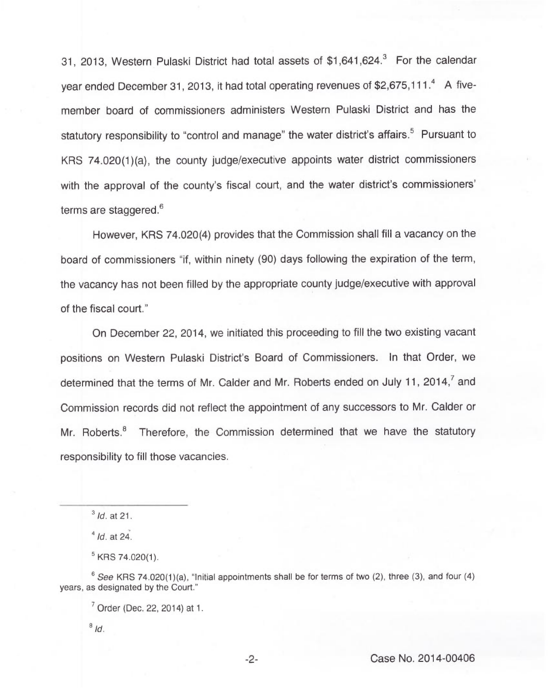31, 2013, Western Pulaski District had total assets of \$1,641,624.<sup>3</sup> For the calendar year ended December 31, 2013, it had total operating revenues of \$2,675,111. $4$  A fivemember board of commissioners administers Western Pulaski District and has the statutory responsibility to "control and manage" the water district's affairs.<sup>5</sup> Pursuant to KRS 74.020(1)(a), the county judge/executive appoints water district commissioners with the approval of the county's fiscal court, and the water district's commissioners' terms are staggered.<sup>6</sup>

However, KRS 74.020(4) provides that the Commission shall fill a vacancy on the board of commissioners "if, within ninety (90) days following the expiration of the term, the vacancy has not been filled by the appropriate county judge/executive with approval of the fiscal court."

On December 22, 2014, we initiated this proceeding to fill the two existing vacant positions on Western Pulaski District's Board of Commissioners. In that Order, we determined that the terms of Mr. Calder and Mr. Roberts ended on July 11, 2014,<sup>7</sup> and Commission records did not reflect the appointment of any successors to Mr. Calder or Mr. Roberts.<sup>8</sup> Therefore, the Commission determined that we have the statutory responsibility to fill those vacancies.

 $3$  *Id.* at 21.

 $^{4}$  Id. at 24.

 $5$  KRS 74.020(1).

 $6$  See KRS 74.020(1)(a), "Initial appointments shall be for terms of two (2), three (3), and four (4) years, as designated by the Court."

<sup>&</sup>lt;sup>7</sup> Order (Dec. 22, 2014) at 1.

 $8/d.$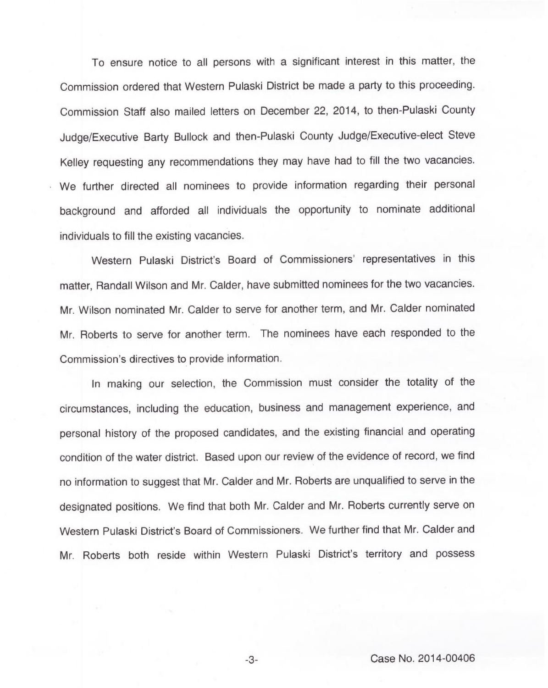To ensure notice to all persons with a significant interest in this matter, the Commission ordered that Western Pulaski District be made a party to this proceeding. Commission Staff also mailed letters on December 22, 2014, to then-Pulaski County Judge/Executive Barty Bullock and then-Pulaski County Judge/Executive-elect Steve Kelley requesting any recommendations they may have had to fill the two vacancies. We further directed all nominees to provide information regarding their personal background and afforded all individuals the opportunity to nominate additional individuals to fill the existing vacancies.

Western Pulaski District's Board of Commissioners' representatives in this matter, Randall Wilson and Mr. Calder, have submitted nominees for the two vacancies. Mr. Wilson nominated Mr. Calder to serve for another term, and Mr. Calder nominated Mr. Roberts to serve for another term. The nominees have each responded to the Commission's directives to provide information.

In making our selection, the Commission must consider the totality of the circumstances, including the education, business and management experience, and personal history of the proposed candidates, and the existing financial and operating condition of the water district. Based upon our review of the evidence of record, we find no information to suggest that Mr. Calder and Mr. Roberts are unqualified to serve in the designated positions. We find that both Mr. Calder and Mr. Roberts currently serve on Western Pulaski District's Board of Commissioners. We further find that Mr. Calder and Mr. Roberts both reside within Western Pulaski District's territory and possess

Case No. 2014-00406

 $-3-$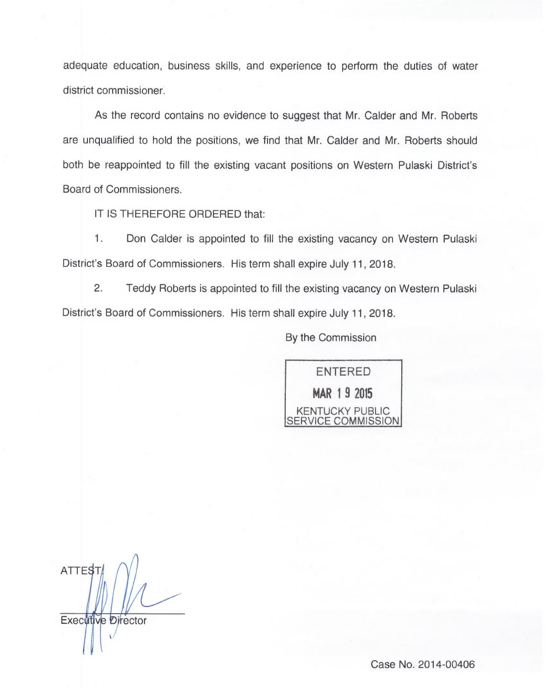adequate education, business skills, and experience to perform the duties of water district commissioner.

As the record contains no evidence to suggest that Mr. Calder and Mr. Roberts are unqualified to hold the positions, we find that Mr. Calder and <sup>M</sup>r.. Roberts should both be reappointed to fill the existing vacant positions on Western Pulaski District's Board of Commissioners.

IT IS THEREFORE ORDERED that:

 $1.$ Don Calder is appointed to fill the existing vacancy on Western Pulaski District's Board of Commissioners. His term shall expire July 11, 2018.

2. Teddy Roberts is appointed to fill the existing vacancy on Western Pulaski District's Board of Commissioners. His term shall expire July 11, 2018.

By the Commission



ATTES<sub>1</sub> Executive Director